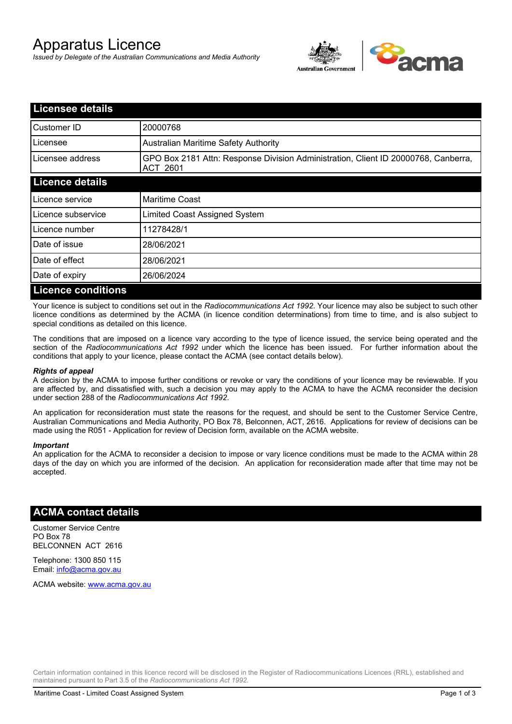# Apparatus Licence

*Issued by Delegate of the Australian Communications and Media Authority*



| <b>Licensee details</b>   |                                                                                                |
|---------------------------|------------------------------------------------------------------------------------------------|
| Customer ID               | 20000768                                                                                       |
| Licensee                  | <b>Australian Maritime Safety Authority</b>                                                    |
| Licensee address          | GPO Box 2181 Attn: Response Division Administration, Client ID 20000768, Canberra,<br>ACT 2601 |
| <b>Licence details</b>    |                                                                                                |
| Licence service           | <b>Maritime Coast</b>                                                                          |
| Licence subservice        | Limited Coast Assigned System                                                                  |
| Licence number            | 11278428/1                                                                                     |
| Date of issue             | 28/06/2021                                                                                     |
| Date of effect            | 28/06/2021                                                                                     |
| Date of expiry            | 26/06/2024                                                                                     |
| <b>Licence conditions</b> |                                                                                                |

Your licence is subject to conditions set out in the *Radiocommunications Act 1992*. Your licence may also be subject to such other licence conditions as determined by the ACMA (in licence condition determinations) from time to time, and is also subject to special conditions as detailed on this licence.

The conditions that are imposed on a licence vary according to the type of licence issued, the service being operated and the section of the *Radiocommunications Act 1992* under which the licence has been issued. For further information about the conditions that apply to your licence, please contact the ACMA (see contact details below).

#### *Rights of appeal*

A decision by the ACMA to impose further conditions or revoke or vary the conditions of your licence may be reviewable. If you are affected by, and dissatisfied with, such a decision you may apply to the ACMA to have the ACMA reconsider the decision under section 288 of the *Radiocommunications Act 1992*.

An application for reconsideration must state the reasons for the request, and should be sent to the Customer Service Centre, Australian Communications and Media Authority, PO Box 78, Belconnen, ACT, 2616. Applications for review of decisions can be made using the R051 - Application for review of Decision form, available on the ACMA website.

#### *Important*

An application for the ACMA to reconsider a decision to impose or vary licence conditions must be made to the ACMA within 28 days of the day on which you are informed of the decision. An application for reconsideration made after that time may not be accepted.

### **ACMA contact details**

Customer Service Centre PO Box 78 BELCONNEN ACT 2616

Telephone: 1300 850 115 Email: info@acma.gov.au

ACMA website: www.acma.gov.au

Certain information contained in this licence record will be disclosed in the Register of Radiocommunications Licences (RRL), established and maintained pursuant to Part 3.5 of the *Radiocommunications Act 1992.*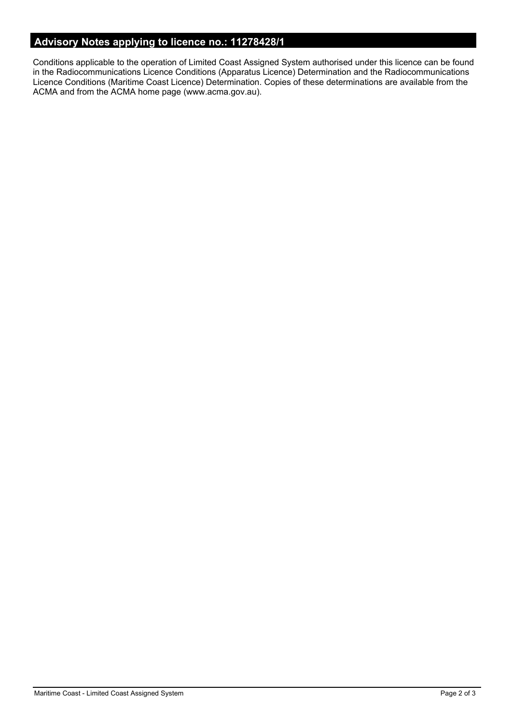# **Advisory Notes applying to licence no.: 11278428/1**

Conditions applicable to the operation of Limited Coast Assigned System authorised under this licence can be found in the Radiocommunications Licence Conditions (Apparatus Licence) Determination and the Radiocommunications Licence Conditions (Maritime Coast Licence) Determination. Copies of these determinations are available from the ACMA and from the ACMA home page (www.acma.gov.au).